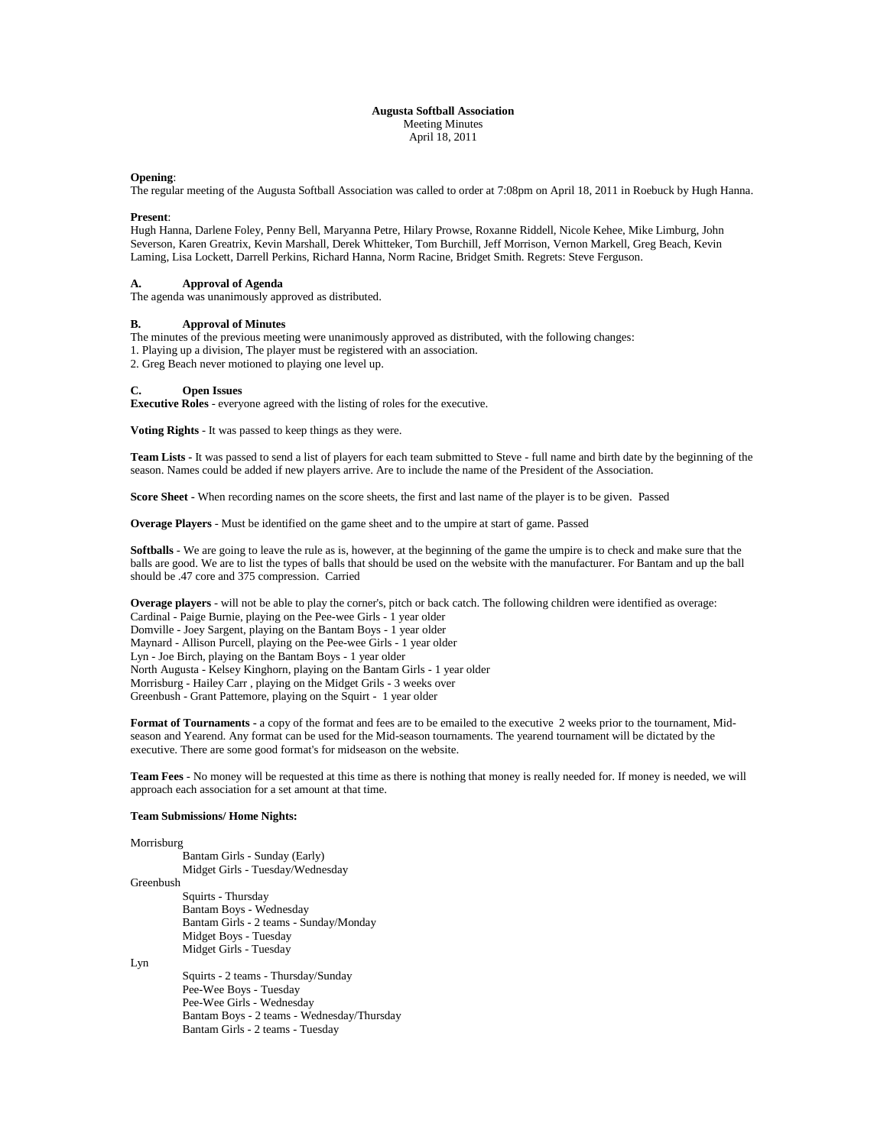## **Augusta Softball Association** Meeting Minutes April 18, 2011

### **Opening**:

The regular meeting of the Augusta Softball Association was called to order at 7:08pm on April 18, 2011 in Roebuck by Hugh Hanna.

#### **Present**:

Hugh Hanna, Darlene Foley, Penny Bell, Maryanna Petre, Hilary Prowse, Roxanne Riddell, Nicole Kehee, Mike Limburg, John Severson, Karen Greatrix, Kevin Marshall, Derek Whitteker, Tom Burchill, Jeff Morrison, Vernon Markell, Greg Beach, Kevin Laming, Lisa Lockett, Darrell Perkins, Richard Hanna, Norm Racine, Bridget Smith. Regrets: Steve Ferguson.

## **A. Approval of Agenda**

The agenda was unanimously approved as distributed.

## **B. Approval of Minutes**

The minutes of the previous meeting were unanimously approved as distributed, with the following changes: 1. Playing up a division, The player must be registered with an association.

2. Greg Beach never motioned to playing one level up.

### **C. Open Issues**

**Executive Roles** - everyone agreed with the listing of roles for the executive.

**Voting Rights** - It was passed to keep things as they were.

**Team Lists -** It was passed to send a list of players for each team submitted to Steve - full name and birth date by the beginning of the season. Names could be added if new players arrive. Are to include the name of the President of the Association.

**Score Sheet -** When recording names on the score sheets, the first and last name of the player is to be given. Passed

**Overage Players** - Must be identified on the game sheet and to the umpire at start of game. Passed

**Softballs** - We are going to leave the rule as is, however, at the beginning of the game the umpire is to check and make sure that the balls are good. We are to list the types of balls that should be used on the website with the manufacturer. For Bantam and up the ball should be .47 core and 375 compression. Carried

**Overage players** - will not be able to play the corner's, pitch or back catch. The following children were identified as overage: Cardinal - Paige Burnie, playing on the Pee-wee Girls - 1 year older Domville - Joey Sargent, playing on the Bantam Boys - 1 year older Maynard - Allison Purcell, playing on the Pee-wee Girls - 1 year older Lyn - Joe Birch, playing on the Bantam Boys - 1 year older North Augusta - Kelsey Kinghorn, playing on the Bantam Girls - 1 year older Morrisburg - Hailey Carr , playing on the Midget Grils - 3 weeks over Greenbush - Grant Pattemore, playing on the Squirt - 1 year older

**Format of Tournaments -** a copy of the format and fees are to be emailed to the executive 2 weeks prior to the tournament, Midseason and Yearend. Any format can be used for the Mid-season tournaments. The yearend tournament will be dictated by the executive. There are some good format's for midseason on the website.

**Team Fees** - No money will be requested at this time as there is nothing that money is really needed for. If money is needed, we will approach each association for a set amount at that time.

#### **Team Submissions/ Home Nights:**

#### Morrisburg

Bantam Girls - Sunday (Early) Midget Girls - Tuesday/Wednesday

Greenbush

Squirts - Thursday Bantam Boys - Wednesday Bantam Girls - 2 teams - Sunday/Monday Midget Boys - Tuesday Midget Girls - Tuesday

Lyn

Squirts - 2 teams - Thursday/Sunday Pee-Wee Boys - Tuesday Pee-Wee Girls - Wednesday Bantam Boys - 2 teams - Wednesday/Thursday Bantam Girls - 2 teams - Tuesday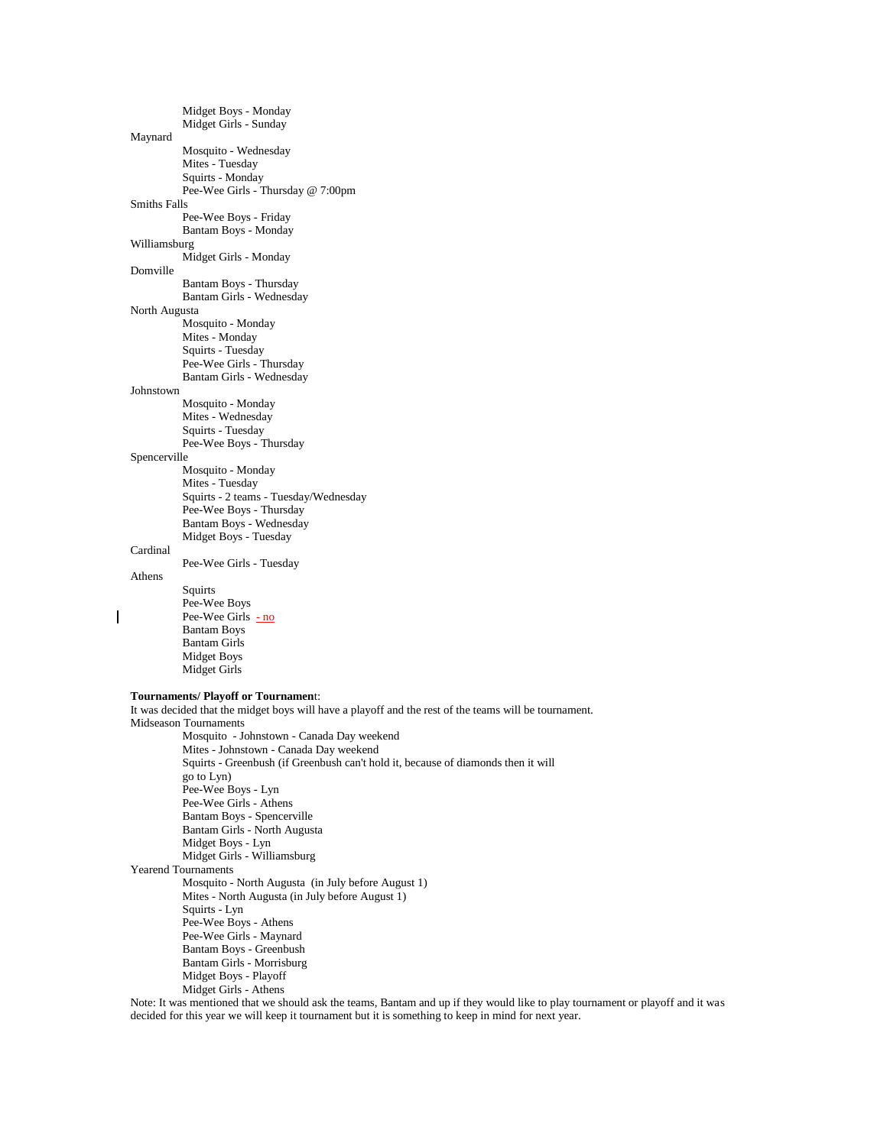Midget Boys - Monday Midget Girls - Sunday Maynard Mosquito - Wednesday Mites - Tuesday Squirts - Monday Pee-Wee Girls - Thursday @ 7:00pm Smiths Falls Pee-Wee Boys - Friday Bantam Boys - Monday Williamsburg Midget Girls - Monday Domville Bantam Boys - Thursday Bantam Girls - Wednesday North Augusta Mosquito - Monday Mites - Monday Squirts - Tuesday Pee-Wee Girls - Thursday Bantam Girls - Wednesday Johnstown Mosquito - Monday Mites - Wednesday Squirts - Tuesday Pee-Wee Boys - Thursday Spencerville Mosquito - Monday Mites - Tuesday Squirts - 2 teams - Tuesday/Wednesday Pee-Wee Boys - Thursday Bantam Boys - Wednesday Midget Boys - Tuesday Cardinal Pee-Wee Girls - Tuesday Athens Squirts Pee-Wee Boys Pee-Wee Girls  $-$  no Bantam Boys Bantam Girls Midget Boys Midget Girls **Tournaments/ Playoff or Tournamen**t: It was decided that the midget boys will have a playoff and the rest of the teams will be tournament. Midseason Tournaments Mosquito - Johnstown - Canada Day weekend Mites - Johnstown - Canada Day weekend Squirts - Greenbush (if Greenbush can't hold it, because of diamonds then it will go to Lyn) Pee-Wee Boys - Lyn Pee-Wee Girls - Athens Bantam Boys - Spencerville Bantam Girls - North Augusta Midget Boys - Lyn Midget Girls - Williamsburg Yearend Tournaments Mosquito - North Augusta (in July before August 1) Mites - North Augusta (in July before August 1) Squirts - Lyn Pee-Wee Boys - Athens Pee-Wee Girls - Maynard Bantam Boys - Greenbush Bantam Girls - Morrisburg Midget Boys - Playoff Midget Girls - Athens

Note: It was mentioned that we should ask the teams, Bantam and up if they would like to play tournament or playoff and it was decided for this year we will keep it tournament but it is something to keep in mind for next year.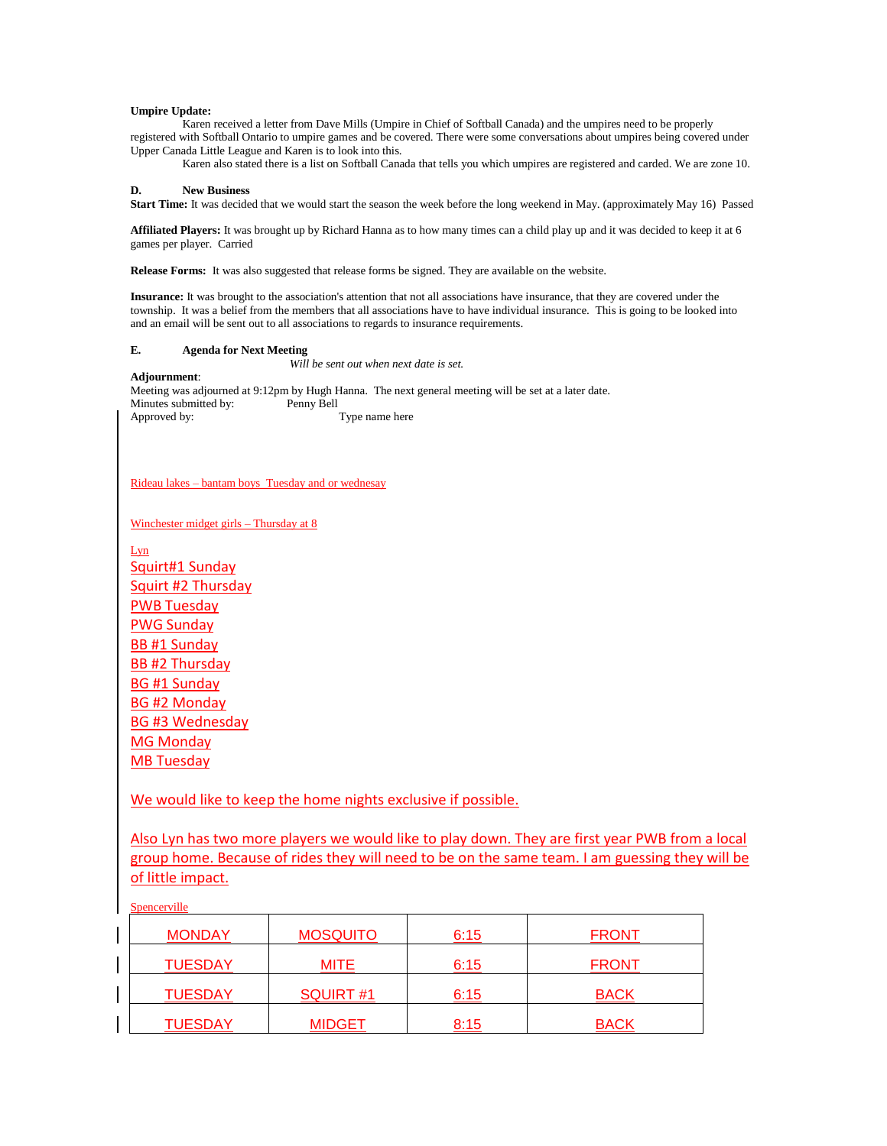# **Umpire Update:**

Karen received a letter from Dave Mills (Umpire in Chief of Softball Canada) and the umpires need to be properly registered with Softball Ontario to umpire games and be covered. There were some conversations about umpires being covered under Upper Canada Little League and Karen is to look into this.

Karen also stated there is a list on Softball Canada that tells you which umpires are registered and carded. We are zone 10.

### **D. New Business**

**Start Time:** It was decided that we would start the season the week before the long weekend in May. (approximately May 16) Passed

**Affiliated Players:** It was brought up by Richard Hanna as to how many times can a child play up and it was decided to keep it at 6 games per player. Carried

**Release Forms:** It was also suggested that release forms be signed. They are available on the website.

**Insurance:** It was brought to the association's attention that not all associations have insurance, that they are covered under the township. It was a belief from the members that all associations have to have individual insurance. This is going to be looked into and an email will be sent out to all associations to regards to insurance requirements.

# **E. Agenda for Next Meeting**

*Will be sent out when next date is set.*

# **Adjournment**:

Meeting was adjourned at 9:12pm by Hugh Hanna. The next general meeting will be set at a later date. Minutes submitted by: Penny Bell Approved by: Type name here

Rideau lakes – bantam boys Tuesday and or wednesay

Winchester midget girls – Thursday at 8

Lyn Squirt#1 Sunday Squirt #2 Thursday PWB Tuesday PWG Sunday BB #1 Sunday BB #2 Thursday BG #1 Sunday BG #2 Monday BG #3 Wednesday MG Monday MB Tuesday

We would like to keep the home nights exclusive if possible.

Also Lyn has two more players we would like to play down. They are first year PWB from a local group home. Because of rides they will need to be on the same team. I am guessing they will be of little impact.

Spencerville

| <b>MONDAY</b>  | <b>MOSQUITO</b> | 6:15 | <b>FRONT</b> |
|----------------|-----------------|------|--------------|
| <b>TUESDAY</b> | <b>MITE</b>     | 6:15 | <b>FRONT</b> |
| <b>TUESDAY</b> | SQUIRT#1        | 6:15 | <b>BACK</b>  |
| <b>TUESDAY</b> | <b>MIDGET</b>   | 8:15 | <b>BACK</b>  |